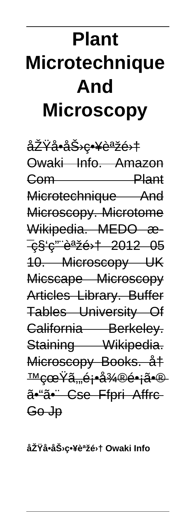# **Plant Microtechnique** And **Microscopy**

<del>原å•力c•¥èªžé›†</del> Owaki Info Amazon **Plant**  $G$ om  $\qquad$ Microtechnique And Microscopy. Microtome Wikipedia. MEDO æ-<del>c§'c''"語é>† 2012 05</del> 10. Microscopy UK Micscape Microscopy Articles Library. Buffer Tables University Of California Berkeley. Staining Wikipedia. Microscopy Books. å‡ <del>™cœŸã…é¡∙å¾®é∙¡ã•®</del> ã•"ã•" Cse Ffpri Affre Go Jp

原å•力略語集 Owaki Info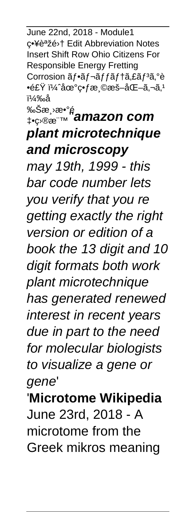June 22nd, 2018 - Module1 c•¥è<sup>a</sup>žé<sup>,</sup>† Edit Abbreviation Notes Insert Shift Row Ohio Citizens For Responsible Energy Fretting Corrosion ãf•ãf¬ãffãf†ã,£ãf3ã,°è •食 ï¼^地畃æ ©æš–åŒ–ã,¬ã,1 )å

## ‰Šæ¸›æ•°é ‡•目標''**amazon com plant microtechnique and microscopy**

may 19th, 1999 - this bar code number lets you verify that you re getting exactly the right version or edition of a book the 13 digit and 10 digit formats both work plant microtechnique has generated renewed interest in recent years due in part to the need for molecular biologists to visualize a gene or gene'

'**Microtome Wikipedia** June 23rd, 2018 - A microtome from the Greek mikros meaning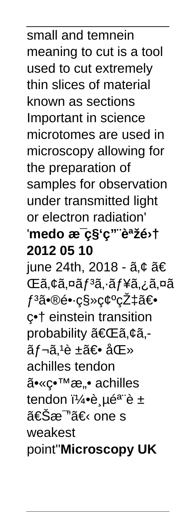# ã•«ç•™æ"• achilles tendon 5è µé<sup>a</sup> è ± 《æ™ã€⊆one s weakest point''**Microscopy UK**

**2012 05 10** iune 24th, 2018 -  $\tilde{a}, \tilde{\epsilon}$   $\tilde{a} \in$ ΋,¢ã,¤ãf<sup>3</sup>ã,∙ãf¥ã,¿ã,¤ã ƒ³ã•®é•·ç§»ç¢ºçŽ‡ã€• c•† einstein transition probability 「ã,¢ã.ãf¬ã,<sup>1</sup>è ±ã€• 医 achilles tendon

meaning to cut is a tool used to cut extremely thin slices of material known as sections Important in science microtomes are used in microscopy allowing for the preparation of samples for observation under transmitted light or electron radiation' 'medo æ<sup>-</sup>ç§'ç'" `語é<sup>,</sup>†

small and temnein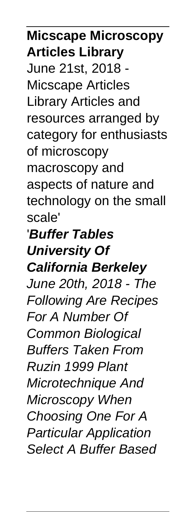## **Micscape Microscopy Articles Library**

June 21st, 2018 - Micscape Articles Library Articles and resources arranged by category for enthusiasts of microscopy macroscopy and aspects of nature and technology on the small scale'

'**Buffer Tables University Of California Berkeley** June 20th, 2018 - The Following Are Recipes For A Number Of Common Biological Buffers Taken From Ruzin 1999 Plant Microtechnique And Microscopy When Choosing One For A Particular Application Select A Buffer Based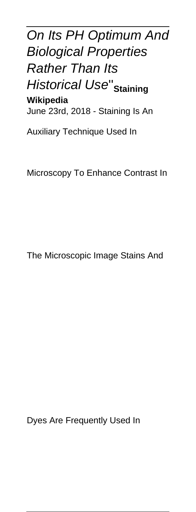### On Its PH Optimum And Biological Properties **Rather Than Its** Historical Use''**Staining Wikipedia** June 23rd, 2018 - Staining Is An

Auxiliary Technique Used In

Microscopy To Enhance Contrast In

The Microscopic Image Stains And

Dyes Are Frequently Used In